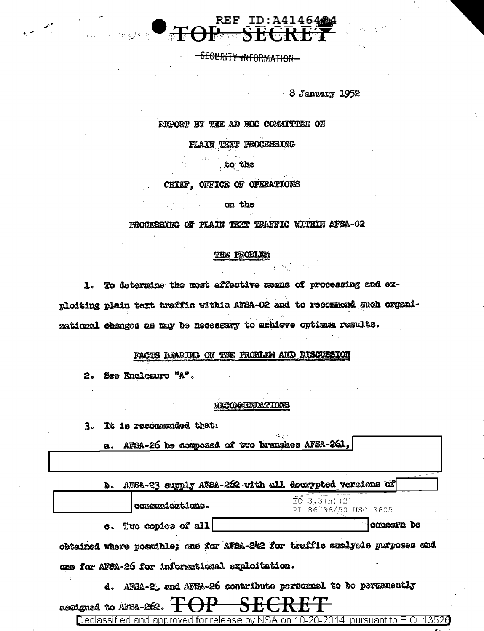

-SECURITY INFORMATION

 $-8$  January 1952

#### REPORT BY THE AD HOC COMMITTEE ON

**FLAIN TEXT PROCESSING** 

to the

#### CHIEF, OFFICE OF OPERATIONS

on the

#### PROCESSING OF PLAIN TEXT TRAFFIC WITHIN AFSA-02

#### THE FROBLE

1. To determine the most effective means of processing and exploiting plain text traffic within AFBA-02 and to recommend such organizational changes as may be necessary to achieve optimum results.

#### FACTS BEARIED ON THE PROBLEM AND DISCUSSION

2. See Enclosure "A".

#### RECOMMENDATIONS

 $\{ \mathcal{L}_\text{c} \}_{\text{c} \in \mathcal{L}}$ 

3. It is recommended that:

|  |  |  |  |  |  |  | a. AFSA-26 be composed of two branches AFSA-261, |  |
|--|--|--|--|--|--|--|--------------------------------------------------|--|
|--|--|--|--|--|--|--|--------------------------------------------------|--|

b. AFSA-23 supply AFSA-262 with all decrypted versions of

 $EO-3.3(h) (2)$ communications. PL 86-36/50 USC 3605 c. Two copies of all concern be

obtained where possible; one for AFBA-242 for traffic analysis purposes and ons for AFBA-26 for informational exploitation.

d. AFBA-2, and AFBA-26 contribute personnel to be permanently

assigned to AFSA-262.

Declassified and approved for release by NSA on 10-20-2014 pursuant to E.O. 13520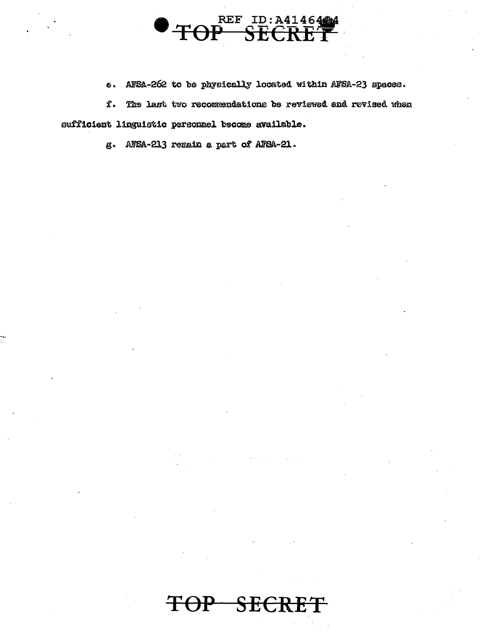

AFSA-262 to be physically located within AFSA-23 spaces.  $\bullet$ 

 $\mathbf{f}$ . The last two recommendations be reviewed and revised when sufficient linguistic personnel become available.

g. AFSA-213 remain a part of AFSA-21.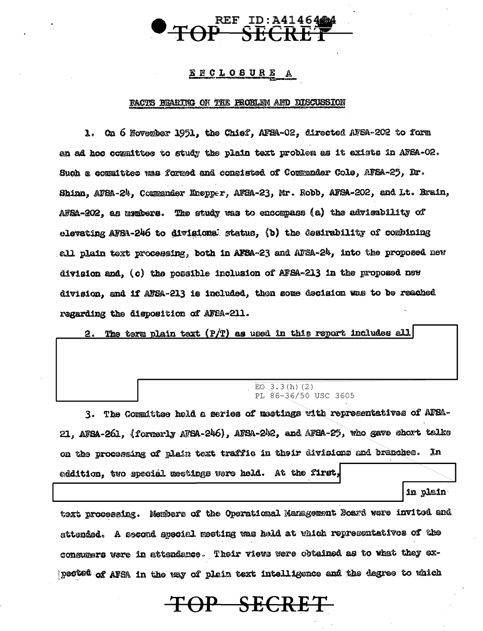

#### ENCLOSURE A

#### PACTS BEARING ON THE PROBLEM AND DISCUSSION

1. On 6 November 1951, the Chief, AFSA-02, directed AFSA-202 to form an ad hoc committee to study the plain text problem as it exists in AFSA-O2. Such a committee was formed and consisted of Commander Cole, AFSA-25, Dr. Shinn, AFSA-24, Commender Knepper, AFSA-23, Mr. Robb, AFSA-202, and Lt. Brain, AFSA-202, as usmbers. The study was to encompass (a) the advisability of elevating AFBA-246 to divisional status, (b) the desirability of combining ell plain text processing, both in AFSA-23 and AFSA-24, into the proposed new division and. (c) the possible inclusion of AFSA-213 in the proposed new division, and if AFSA-213 is included, then some decision was to be reached regarding the disposition of AFBA-211.

2. The term plain text  $(P/T)$  as used in this report includes all

#### $EO(3.3(h) (2)$ PL 86-36/50 USC 3605

3. The Committee hold a series of meetings with representatives of AFSA-21, AFSA-261, (formerly AFSA-246), AFSA-242, and AFSA-25, who gave short talks on the processing of plain text traffic in their divisions and branches. In addition, two special meetings were held. At the first,

in plain

text processing. Members of the Operational Management Soard were invited and attendad. A second special meeting was held at which representatives of the consumers were in attendance. Their views were obtained as to what they expected of AFSA in the way of plein text intelligence and the degree to which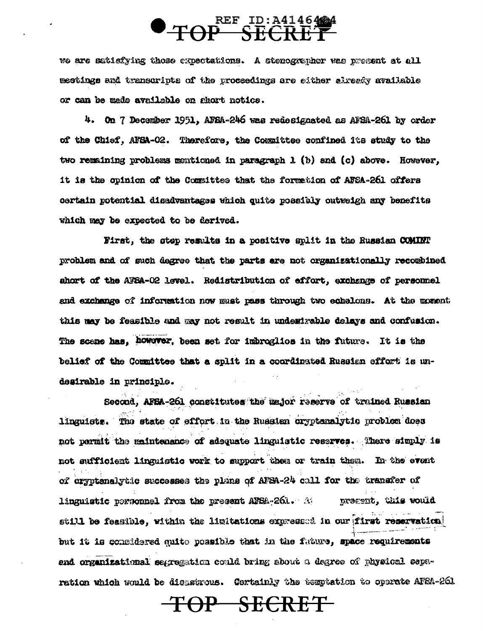# **TOP SECRET**

we are satisfying those expectations. A stenozyenher was present at all mectings and transcripts of the proceedings are either already available or can be made available on abort notics.

4. On 7 December 1951, AFSA-246 was redesignated as AFSA-261 by order of the Chief, AFSA-02. Therefore, the Committee confined its study to the two remaining problems mentioned in paragraph  $1$  (b) and (c) above. However, it is the opinion of the Committee that the formation of AFSA-261 offers certain potential disadvantages which quite possibly outweigh any benefits which may be expected to be derived.

First, the step results in a positive split in the Russian COMINT problem and of such degree that the parts are not organizationally recombined ahort of the AFSA-02 level. Redistribution of effort, exchange of personnel and exchange of information now must pass through two echelons. At the moment this may be feasible and may not result in undestrable delays and confusion. The scene has, however, been set for imbroglios in the future. It is the belief of the Committee that a split in a coordinated Russian effort is undesirable in principle.

Second, AFSA-261 constitutes the æsjor reserve of trained Russian linguists. The state of effort in the Russian oryptenalytic problem does not permit the maintenance of adequate linguistic reserves. There simply is not sufficient linguistic work to support then or train them. In the event of cryptenalytic successes the plane of AFSA-24 call for the transfer of linguistic personnel from the present AFSA-261. A present, this would still be feasible, within the limitations expressed in our first reservation but it is considered quite possible that in the fature, space requirements end organizational segreement could bring about a degree of physical separation which would be dissaurous. Certainly the temptation to operate AF2A-261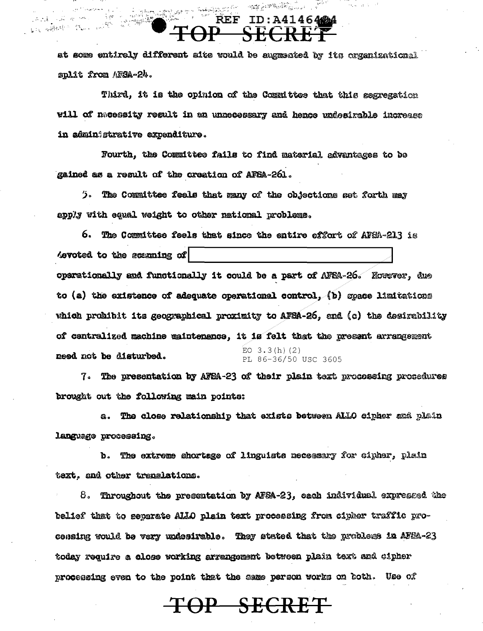at some entirely different alte would be augmented by its organizational split from AFSA-24.

anderstand en stad

REF

a<br>Santa <u>m</u>agayarta<br>Santa <u>ma</u>gayarta

法法案 化最小的 地

gag albert in 15

 $\label{eq:3.1} \mathcal{O}(\sum_{k=1}^n\sum_{j=1}^n\sum_{\alpha\in\mathbb{Z}}\mathbb{E}\left[\sum_{k=1}^n\sum_{j=1}^n\sum_{\alpha\in\mathbb{Z}}\sum_{j=1}^n\sum_{\alpha\in\mathbb{Z}}\sum_{j=1}^n\sum_{\alpha\in\mathbb{Z}}\sum_{j=1}^n\sum_{\alpha\in\mathbb{Z}}\sum_{j=1}^n\sum_{\alpha\in\mathbb{Z}}\sum_{j=1}^n\sum_{\alpha\in\mathbb{Z}}\sum_{j=1}^n\sum_{\alpha\in\mathbb{Z}}\sum_{j$ 

 $ID: A41464224$ 

**Andrew Street** 

Third, it is the opinion of the Committee that this segregation will of nacessity result in an unnecessary and hence undesirable increase in administrative expenditure.

Fourth, the Committee fails to find material advantages to be gained as a result of the creation of AFSA-261.

). The Committee feels that many of the objections set forth may apply with equal weight to other national problems.

6. The Committee feels that since the entire effort of AFSA-213 is devoted to the scanning of operationally and functionally it could be a part of AFEA-26. However, due to (a) the existence of adequate operational control, (b) space limitations which probibit its geographical proximity to AFBA-26, and (c) the desirability of centralized machine maintenance, it is felt that the present arrangement EO  $3.3(h)$  (2) need not be disturbed. PL 86-36/50 USC 3605

7. The presentation by AFEA-23 of their plain text processing procedures brought out the following main points:

The close relationship that exists between ALLO cipher and plain **g.** language processing.

b. The extreme shortage of linguists necessary for cipher, plain text, and other translations.

8. Throughout the presentation by AFSA-23, each individual expressed the belief that to separate ALLO plain text processing from cipber traffic proconsing would be very undesirable. They stated that the problems in AFEA-23 today require a close working arrangement between plain text and cipher processing even to the point that the same person works on both. Use of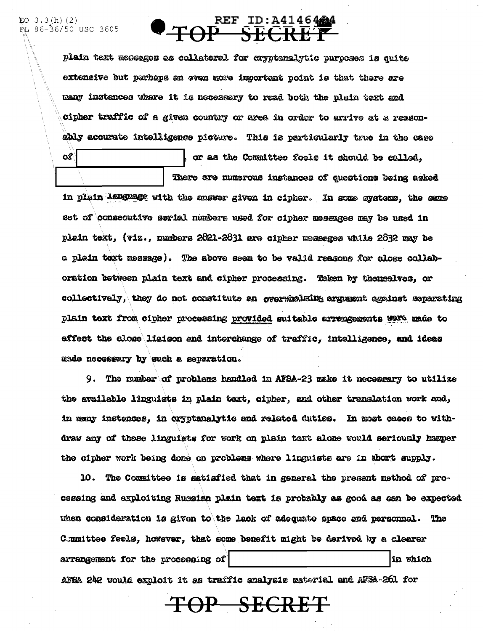ଫ

### REF ID: A41464444  $\overline{P} + \overline{OP}$

plain text messages as collateral for exyptenalytic purposes is quite extensive but parhaps an even more important point is that there are many instances where it is necessary to read both the plain text and cipher traffic of a given country or area in order to arrive at a reasonably acourate intelligence picture. This is particularly true in the case

There are numerous instances of questions being asked in plain language with the answer given in cipher. In some systems, the same set of consecutive serial numbers used for cipher messages may be used in plain text, (viz., numbers 2821-2831 are cipher messages while 2832 may be a plain text message). The above seem to be valid reasons for close collaboration between plain text and cipher processing. Taken by themselves, or collectively, they do not constitute an overwhelming argument against separating plain text from cipher processing provided suitable arrangements were made to effect the close liaison and interchange of traffic, intelligence, and ideas made necessary by such a separation.

or as the Committee feels it should be called,

9. The number of problems handled in AFSA-23 make it necessary to utilize the available linguists in plain taxt, cipher, and other translation work and, in many instances, in cryptanalytic and related duties. In most cases to withdraw any of these linguists for work on plain taxt alone would seriously hamper the cipher work being done on problems where linguists are in thort supply.

10. The Committee is satisfied that in general the present method of processing and exploiting Russian plain text is probably as good as can be expected when consideration is given to the lack of adequate space and personnel. The Committee feels, however, that some benefit might be derived by a clearer arrangement for the processing of in which AFSA 242 would exploit it as traffic analysis material and AFSA-261 for